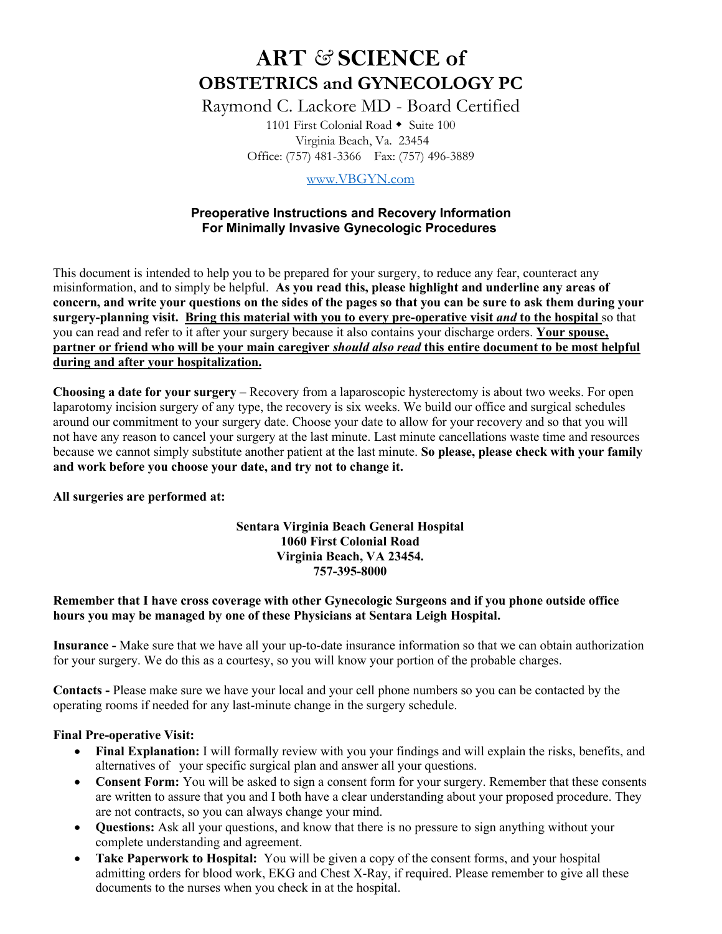# **ART** *&* **SCIENCE of OBSTETRICS and GYNECOLOGY PC**

Raymond C. Lackore MD - Board Certified

1101 First Colonial Road  $\triangle$  Suite 100 Virginia Beach, Va. 23454 Office: (757) 481-3366 Fax: (757) 496-3889

[www.VBGYN.com](http://www.vbgyn.com/)

# **Preoperative Instructions and Recovery Information For Minimally Invasive Gynecologic Procedures**

This document is intended to help you to be prepared for your surgery, to reduce any fear, counteract any misinformation, and to simply be helpful. **As you read this, please highlight and underline any areas of concern, and write your questions on the sides of the pages so that you can be sure to ask them during your surgery-planning visit. Bring this material with you to every pre-operative visit** *and* **to the hospital** so that you can read and refer to it after your surgery because it also contains your discharge orders. **Your spouse, partner or friend who will be your main caregiver** *should also read* **this entire document to be most helpful during and after your hospitalization.**

**Choosing a date for your surgery** – Recovery from a laparoscopic hysterectomy is about two weeks. For open laparotomy incision surgery of any type, the recovery is six weeks. We build our office and surgical schedules around our commitment to your surgery date. Choose your date to allow for your recovery and so that you will not have any reason to cancel your surgery at the last minute. Last minute cancellations waste time and resources because we cannot simply substitute another patient at the last minute. **So please, please check with your family and work before you choose your date, and try not to change it.**

**All surgeries are performed at:**

## **Sentara Virginia Beach General Hospital 1060 First Colonial Road Virginia Beach, VA 23454. 757-395-8000**

## **Remember that I have cross coverage with other Gynecologic Surgeons and if you phone outside office hours you may be managed by one of these Physicians at Sentara Leigh Hospital.**

**Insurance -** Make sure that we have all your up-to-date insurance information so that we can obtain authorization for your surgery. We do this as a courtesy, so you will know your portion of the probable charges.

**Contacts -** Please make sure we have your local and your cell phone numbers so you can be contacted by the operating rooms if needed for any last-minute change in the surgery schedule.

## **Final Pre-operative Visit:**

- **Final Explanation:** I will formally review with you your findings and will explain the risks, benefits, and alternatives of your specific surgical plan and answer all your questions.
- **Consent Form:** You will be asked to sign a consent form for your surgery. Remember that these consents are written to assure that you and I both have a clear understanding about your proposed procedure. They are not contracts, so you can always change your mind.
- **Questions:** Ask all your questions, and know that there is no pressure to sign anything without your complete understanding and agreement.
- **Take Paperwork to Hospital:** You will be given a copy of the consent forms, and your hospital admitting orders for blood work, EKG and Chest X-Ray, if required. Please remember to give all these documents to the nurses when you check in at the hospital.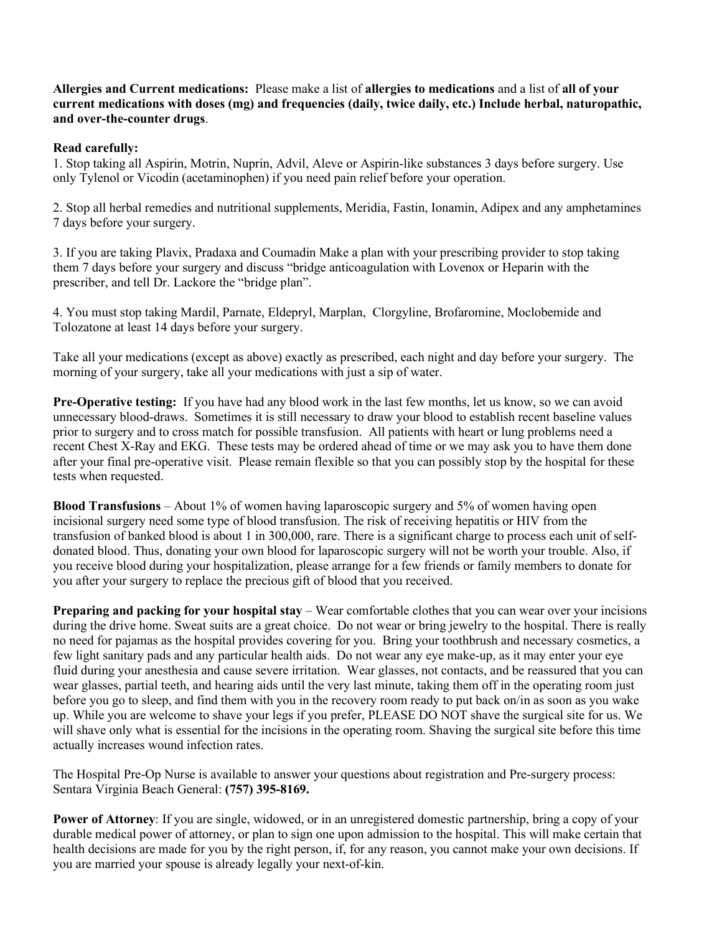**Allergies and Current medications:** Please make a list of **allergies to medications** and a list of **all of your current medications with doses (mg) and frequencies (daily, twice daily, etc.) Include herbal, naturopathic, and over-the-counter drugs**.

#### **Read carefully:**

1. Stop taking all Aspirin, Motrin, Nuprin, Advil, Aleve or Aspirin-like substances 3 days before surgery. Use only Tylenol or Vicodin (acetaminophen) if you need pain relief before your operation.

2. Stop all herbal remedies and nutritional supplements, Meridia, Fastin, Ionamin, Adipex and any amphetamines 7 days before your surgery.

3. If you are taking Plavix, Pradaxa and Coumadin Make a plan with your prescribing provider to stop taking them 7 days before your surgery and discuss "bridge anticoagulation with Lovenox or Heparin with the prescriber, and tell Dr. Lackore the "bridge plan".

4. You must stop taking Mardil, Parnate, Eldepryl, Marplan, Clorgyline, Brofaromine, Moclobemide and Tolozatone at least 14 days before your surgery.

Take all your medications (except as above) exactly as prescribed, each night and day before your surgery. The morning of your surgery, take all your medications with just a sip of water.

**Pre-Operative testing:** If you have had any blood work in the last few months, let us know, so we can avoid unnecessary blood-draws. Sometimes it is still necessary to draw your blood to establish recent baseline values prior to surgery and to cross match for possible transfusion. All patients with heart or lung problems need a recent Chest X-Ray and EKG. These tests may be ordered ahead of time or we may ask you to have them done after your final pre-operative visit. Please remain flexible so that you can possibly stop by the hospital for these tests when requested.

**Blood Transfusions** – About 1% of women having laparoscopic surgery and 5% of women having open incisional surgery need some type of blood transfusion. The risk of receiving hepatitis or HIV from the transfusion of banked blood is about 1 in 300,000, rare. There is a significant charge to process each unit of selfdonated blood. Thus, donating your own blood for laparoscopic surgery will not be worth your trouble. Also, if you receive blood during your hospitalization, please arrange for a few friends or family members to donate for you after your surgery to replace the precious gift of blood that you received.

**Preparing and packing for your hospital stay** – Wear comfortable clothes that you can wear over your incisions during the drive home. Sweat suits are a great choice. Do not wear or bring jewelry to the hospital. There is really no need for pajamas as the hospital provides covering for you. Bring your toothbrush and necessary cosmetics, a few light sanitary pads and any particular health aids. Do not wear any eye make-up, as it may enter your eye fluid during your anesthesia and cause severe irritation. Wear glasses, not contacts, and be reassured that you can wear glasses, partial teeth, and hearing aids until the very last minute, taking them off in the operating room just before you go to sleep, and find them with you in the recovery room ready to put back on/in as soon as you wake up. While you are welcome to shave your legs if you prefer, PLEASE DO NOT shave the surgical site for us. We will shave only what is essential for the incisions in the operating room. Shaving the surgical site before this time actually increases wound infection rates.

The Hospital Pre-Op Nurse is available to answer your questions about registration and Pre-surgery process: Sentara Virginia Beach General: **(757) 395-8169.**

**Power of Attorney**: If you are single, widowed, or in an unregistered domestic partnership, bring a copy of your durable medical power of attorney, or plan to sign one upon admission to the hospital. This will make certain that health decisions are made for you by the right person, if, for any reason, you cannot make your own decisions. If you are married your spouse is already legally your next-of-kin.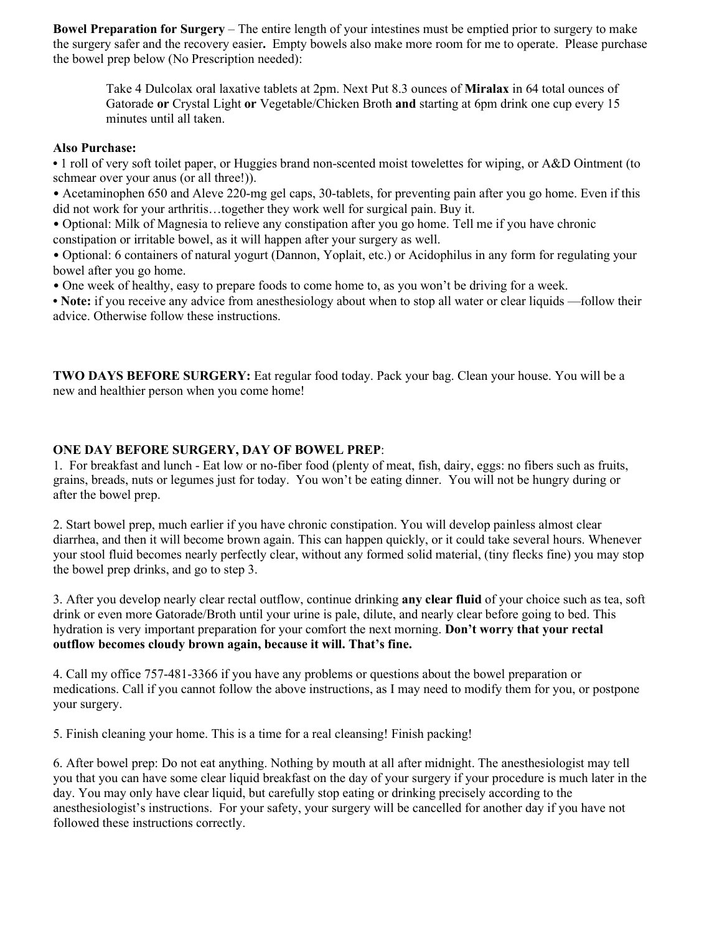**Bowel Preparation for Surgery** – The entire length of your intestines must be emptied prior to surgery to make the surgery safer and the recovery easier**.** Empty bowels also make more room for me to operate. Please purchase the bowel prep below (No Prescription needed):

Take 4 Dulcolax oral laxative tablets at 2pm. Next Put 8.3 ounces of **Miralax** in 64 total ounces of Gatorade **or** Crystal Light **or** Vegetable/Chicken Broth **and** starting at 6pm drink one cup every 15 minutes until all taken.

#### **Also Purchase:**

**•** 1 roll of very soft toilet paper, or Huggies brand non-scented moist towelettes for wiping, or A&D Ointment (to schmear over your anus (or all three!)).

• Acetaminophen 650 and Aleve 220-mg gel caps, 30-tablets, for preventing pain after you go home. Even if this did not work for your arthritis…together they work well for surgical pain. Buy it.

• Optional: Milk of Magnesia to relieve any constipation after you go home. Tell me if you have chronic constipation or irritable bowel, as it will happen after your surgery as well.

• Optional: 6 containers of natural yogurt (Dannon, Yoplait, etc.) or Acidophilus in any form for regulating your bowel after you go home.

• One week of healthy, easy to prepare foods to come home to, as you won't be driving for a week.

**• Note:** if you receive any advice from anesthesiology about when to stop all water or clear liquids —follow their advice. Otherwise follow these instructions.

**TWO DAYS BEFORE SURGERY:** Eat regular food today. Pack your bag. Clean your house. You will be a new and healthier person when you come home!

## **ONE DAY BEFORE SURGERY, DAY OF BOWEL PREP**:

1. For breakfast and lunch - Eat low or no-fiber food (plenty of meat, fish, dairy, eggs: no fibers such as fruits, grains, breads, nuts or legumes just for today. You won't be eating dinner. You will not be hungry during or after the bowel prep.

2. Start bowel prep, much earlier if you have chronic constipation. You will develop painless almost clear diarrhea, and then it will become brown again. This can happen quickly, or it could take several hours. Whenever your stool fluid becomes nearly perfectly clear, without any formed solid material, (tiny flecks fine) you may stop the bowel prep drinks, and go to step 3.

3. After you develop nearly clear rectal outflow, continue drinking **any clear fluid** of your choice such as tea, soft drink or even more Gatorade/Broth until your urine is pale, dilute, and nearly clear before going to bed. This hydration is very important preparation for your comfort the next morning. **Don't worry that your rectal outflow becomes cloudy brown again, because it will. That's fine.**

4. Call my office 757-481-3366 if you have any problems or questions about the bowel preparation or medications. Call if you cannot follow the above instructions, as I may need to modify them for you, or postpone your surgery.

5. Finish cleaning your home. This is a time for a real cleansing! Finish packing!

6. After bowel prep: Do not eat anything. Nothing by mouth at all after midnight. The anesthesiologist may tell you that you can have some clear liquid breakfast on the day of your surgery if your procedure is much later in the day. You may only have clear liquid, but carefully stop eating or drinking precisely according to the anesthesiologist's instructions. For your safety, your surgery will be cancelled for another day if you have not followed these instructions correctly.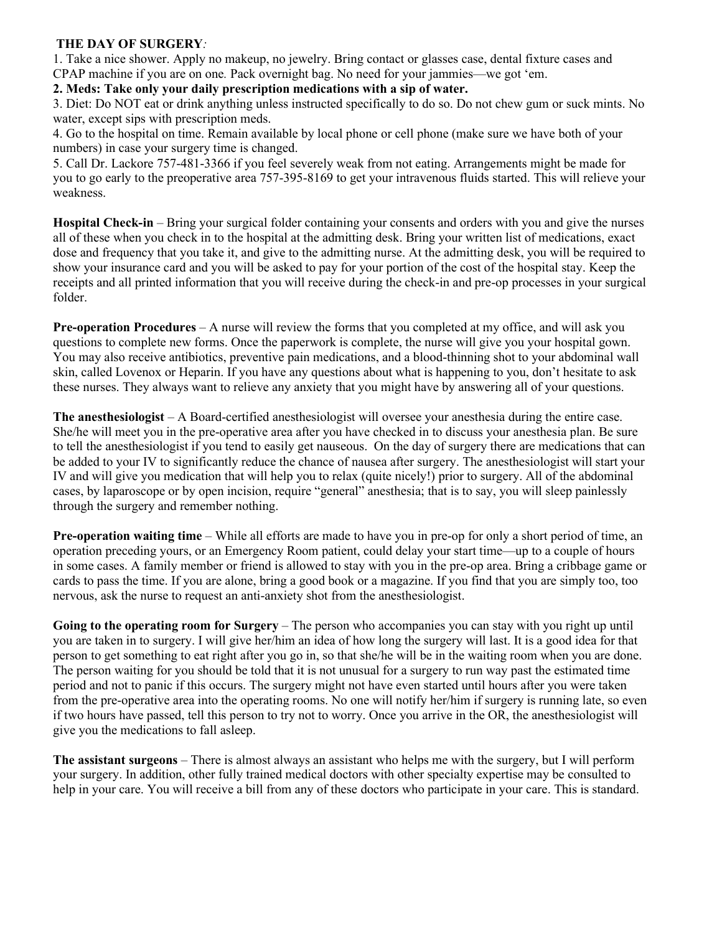## **THE DAY OF SURGERY***:*

1. Take a nice shower. Apply no makeup, no jewelry. Bring contact or glasses case, dental fixture cases and CPAP machine if you are on one*.* Pack overnight bag. No need for your jammies—we got 'em.

## **2. Meds: Take only your daily prescription medications with a sip of water.**

3. Diet: Do NOT eat or drink anything unless instructed specifically to do so. Do not chew gum or suck mints. No water, except sips with prescription meds.

4. Go to the hospital on time. Remain available by local phone or cell phone (make sure we have both of your numbers) in case your surgery time is changed.

5. Call Dr. Lackore 757-481-3366 if you feel severely weak from not eating. Arrangements might be made for you to go early to the preoperative area 757-395-8169 to get your intravenous fluids started. This will relieve your weakness.

**Hospital Check-in** – Bring your surgical folder containing your consents and orders with you and give the nurses all of these when you check in to the hospital at the admitting desk. Bring your written list of medications, exact dose and frequency that you take it, and give to the admitting nurse. At the admitting desk, you will be required to show your insurance card and you will be asked to pay for your portion of the cost of the hospital stay. Keep the receipts and all printed information that you will receive during the check-in and pre-op processes in your surgical folder.

**Pre-operation Procedures** – A nurse will review the forms that you completed at my office, and will ask you questions to complete new forms. Once the paperwork is complete, the nurse will give you your hospital gown. You may also receive antibiotics, preventive pain medications, and a blood-thinning shot to your abdominal wall skin, called Lovenox or Heparin. If you have any questions about what is happening to you, don't hesitate to ask these nurses. They always want to relieve any anxiety that you might have by answering all of your questions.

**The anesthesiologist** – A Board-certified anesthesiologist will oversee your anesthesia during the entire case. She/he will meet you in the pre-operative area after you have checked in to discuss your anesthesia plan. Be sure to tell the anesthesiologist if you tend to easily get nauseous. On the day of surgery there are medications that can be added to your IV to significantly reduce the chance of nausea after surgery. The anesthesiologist will start your IV and will give you medication that will help you to relax (quite nicely!) prior to surgery. All of the abdominal cases, by laparoscope or by open incision, require "general" anesthesia; that is to say, you will sleep painlessly through the surgery and remember nothing.

**Pre-operation waiting time** – While all efforts are made to have you in pre-op for only a short period of time, an operation preceding yours, or an Emergency Room patient, could delay your start time—up to a couple of hours in some cases. A family member or friend is allowed to stay with you in the pre-op area. Bring a cribbage game or cards to pass the time. If you are alone, bring a good book or a magazine. If you find that you are simply too, too nervous, ask the nurse to request an anti-anxiety shot from the anesthesiologist.

Going to the operating room for Surgery - The person who accompanies you can stay with you right up until you are taken in to surgery. I will give her/him an idea of how long the surgery will last. It is a good idea for that person to get something to eat right after you go in, so that she/he will be in the waiting room when you are done. The person waiting for you should be told that it is not unusual for a surgery to run way past the estimated time period and not to panic if this occurs. The surgery might not have even started until hours after you were taken from the pre-operative area into the operating rooms. No one will notify her/him if surgery is running late, so even if two hours have passed, tell this person to try not to worry. Once you arrive in the OR, the anesthesiologist will give you the medications to fall asleep.

**The assistant surgeons** – There is almost always an assistant who helps me with the surgery, but I will perform your surgery. In addition, other fully trained medical doctors with other specialty expertise may be consulted to help in your care. You will receive a bill from any of these doctors who participate in your care. This is standard.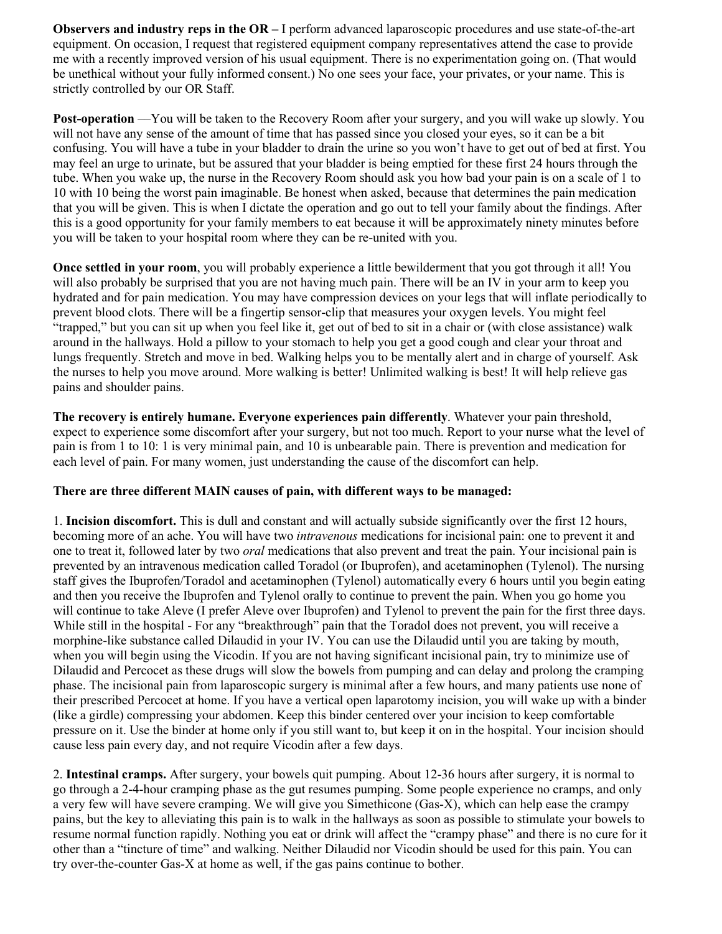**Observers and industry reps in the OR – I** perform advanced laparoscopic procedures and use state-of-the-art equipment. On occasion, I request that registered equipment company representatives attend the case to provide me with a recently improved version of his usual equipment. There is no experimentation going on. (That would be unethical without your fully informed consent.) No one sees your face, your privates, or your name. This is strictly controlled by our OR Staff.

**Post-operation** —You will be taken to the Recovery Room after your surgery, and you will wake up slowly. You will not have any sense of the amount of time that has passed since you closed your eyes, so it can be a bit confusing. You will have a tube in your bladder to drain the urine so you won't have to get out of bed at first. You may feel an urge to urinate, but be assured that your bladder is being emptied for these first 24 hours through the tube. When you wake up, the nurse in the Recovery Room should ask you how bad your pain is on a scale of 1 to 10 with 10 being the worst pain imaginable. Be honest when asked, because that determines the pain medication that you will be given. This is when I dictate the operation and go out to tell your family about the findings. After this is a good opportunity for your family members to eat because it will be approximately ninety minutes before you will be taken to your hospital room where they can be re-united with you.

**Once settled in your room**, you will probably experience a little bewilderment that you got through it all! You will also probably be surprised that you are not having much pain. There will be an IV in your arm to keep you hydrated and for pain medication. You may have compression devices on your legs that will inflate periodically to prevent blood clots. There will be a fingertip sensor-clip that measures your oxygen levels. You might feel "trapped," but you can sit up when you feel like it, get out of bed to sit in a chair or (with close assistance) walk around in the hallways. Hold a pillow to your stomach to help you get a good cough and clear your throat and lungs frequently. Stretch and move in bed. Walking helps you to be mentally alert and in charge of yourself. Ask the nurses to help you move around. More walking is better! Unlimited walking is best! It will help relieve gas pains and shoulder pains.

**The recovery is entirely humane. Everyone experiences pain differently**. Whatever your pain threshold, expect to experience some discomfort after your surgery, but not too much. Report to your nurse what the level of pain is from 1 to 10: 1 is very minimal pain, and 10 is unbearable pain. There is prevention and medication for each level of pain. For many women, just understanding the cause of the discomfort can help.

#### **There are three different MAIN causes of pain, with different ways to be managed:**

1. **Incision discomfort.** This is dull and constant and will actually subside significantly over the first 12 hours, becoming more of an ache. You will have two *intravenous* medications for incisional pain: one to prevent it and one to treat it, followed later by two *oral* medications that also prevent and treat the pain. Your incisional pain is prevented by an intravenous medication called Toradol (or Ibuprofen), and acetaminophen (Tylenol). The nursing staff gives the Ibuprofen/Toradol and acetaminophen (Tylenol) automatically every 6 hours until you begin eating and then you receive the Ibuprofen and Tylenol orally to continue to prevent the pain. When you go home you will continue to take Aleve (I prefer Aleve over Ibuprofen) and Tylenol to prevent the pain for the first three days. While still in the hospital - For any "breakthrough" pain that the Toradol does not prevent, you will receive a morphine-like substance called Dilaudid in your IV. You can use the Dilaudid until you are taking by mouth, when you will begin using the Vicodin. If you are not having significant incisional pain, try to minimize use of Dilaudid and Percocet as these drugs will slow the bowels from pumping and can delay and prolong the cramping phase. The incisional pain from laparoscopic surgery is minimal after a few hours, and many patients use none of their prescribed Percocet at home. If you have a vertical open laparotomy incision, you will wake up with a binder (like a girdle) compressing your abdomen. Keep this binder centered over your incision to keep comfortable pressure on it. Use the binder at home only if you still want to, but keep it on in the hospital. Your incision should cause less pain every day, and not require Vicodin after a few days.

2. **Intestinal cramps.** After surgery, your bowels quit pumping. About 12-36 hours after surgery, it is normal to go through a 2-4-hour cramping phase as the gut resumes pumping. Some people experience no cramps, and only a very few will have severe cramping. We will give you Simethicone (Gas-X), which can help ease the crampy pains, but the key to alleviating this pain is to walk in the hallways as soon as possible to stimulate your bowels to resume normal function rapidly. Nothing you eat or drink will affect the "crampy phase" and there is no cure for it other than a "tincture of time" and walking. Neither Dilaudid nor Vicodin should be used for this pain. You can try over-the-counter Gas-X at home as well, if the gas pains continue to bother.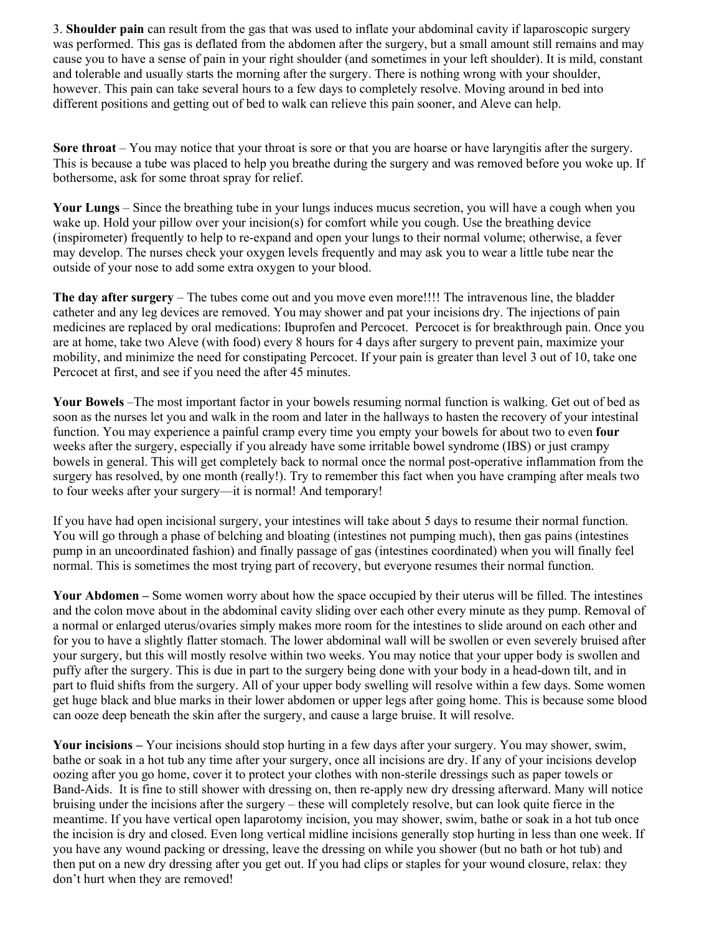3. **Shoulder pain** can result from the gas that was used to inflate your abdominal cavity if laparoscopic surgery was performed. This gas is deflated from the abdomen after the surgery, but a small amount still remains and may cause you to have a sense of pain in your right shoulder (and sometimes in your left shoulder). It is mild, constant and tolerable and usually starts the morning after the surgery. There is nothing wrong with your shoulder, however. This pain can take several hours to a few days to completely resolve. Moving around in bed into different positions and getting out of bed to walk can relieve this pain sooner, and Aleve can help.

**Sore throat** – You may notice that your throat is sore or that you are hoarse or have laryngitis after the surgery. This is because a tube was placed to help you breathe during the surgery and was removed before you woke up. If bothersome, ask for some throat spray for relief.

**Your Lungs** – Since the breathing tube in your lungs induces mucus secretion, you will have a cough when you wake up. Hold your pillow over your incision(s) for comfort while you cough. Use the breathing device (inspirometer) frequently to help to re-expand and open your lungs to their normal volume; otherwise, a fever may develop. The nurses check your oxygen levels frequently and may ask you to wear a little tube near the outside of your nose to add some extra oxygen to your blood.

**The day after surgery** – The tubes come out and you move even more!!!! The intravenous line, the bladder catheter and any leg devices are removed. You may shower and pat your incisions dry. The injections of pain medicines are replaced by oral medications: Ibuprofen and Percocet. Percocet is for breakthrough pain. Once you are at home, take two Aleve (with food) every 8 hours for 4 days after surgery to prevent pain, maximize your mobility, and minimize the need for constipating Percocet. If your pain is greater than level 3 out of 10, take one Percocet at first, and see if you need the after 45 minutes.

**Your Bowels** –The most important factor in your bowels resuming normal function is walking. Get out of bed as soon as the nurses let you and walk in the room and later in the hallways to hasten the recovery of your intestinal function. You may experience a painful cramp every time you empty your bowels for about two to even **four**  weeks after the surgery, especially if you already have some irritable bowel syndrome (IBS) or just crampy bowels in general. This will get completely back to normal once the normal post-operative inflammation from the surgery has resolved, by one month (really!). Try to remember this fact when you have cramping after meals two to four weeks after your surgery—it is normal! And temporary!

If you have had open incisional surgery, your intestines will take about 5 days to resume their normal function. You will go through a phase of belching and bloating (intestines not pumping much), then gas pains (intestines pump in an uncoordinated fashion) and finally passage of gas (intestines coordinated) when you will finally feel normal. This is sometimes the most trying part of recovery, but everyone resumes their normal function.

**Your Abdomen –** Some women worry about how the space occupied by their uterus will be filled. The intestines and the colon move about in the abdominal cavity sliding over each other every minute as they pump. Removal of a normal or enlarged uterus/ovaries simply makes more room for the intestines to slide around on each other and for you to have a slightly flatter stomach. The lower abdominal wall will be swollen or even severely bruised after your surgery, but this will mostly resolve within two weeks. You may notice that your upper body is swollen and puffy after the surgery. This is due in part to the surgery being done with your body in a head-down tilt, and in part to fluid shifts from the surgery. All of your upper body swelling will resolve within a few days. Some women get huge black and blue marks in their lower abdomen or upper legs after going home. This is because some blood can ooze deep beneath the skin after the surgery, and cause a large bruise. It will resolve.

**Your incisions –** Your incisions should stop hurting in a few days after your surgery. You may shower, swim, bathe or soak in a hot tub any time after your surgery, once all incisions are dry. If any of your incisions develop oozing after you go home, cover it to protect your clothes with non-sterile dressings such as paper towels or Band-Aids. It is fine to still shower with dressing on, then re-apply new dry dressing afterward. Many will notice bruising under the incisions after the surgery – these will completely resolve, but can look quite fierce in the meantime. If you have vertical open laparotomy incision, you may shower, swim, bathe or soak in a hot tub once the incision is dry and closed. Even long vertical midline incisions generally stop hurting in less than one week. If you have any wound packing or dressing, leave the dressing on while you shower (but no bath or hot tub) and then put on a new dry dressing after you get out. If you had clips or staples for your wound closure, relax: they don't hurt when they are removed!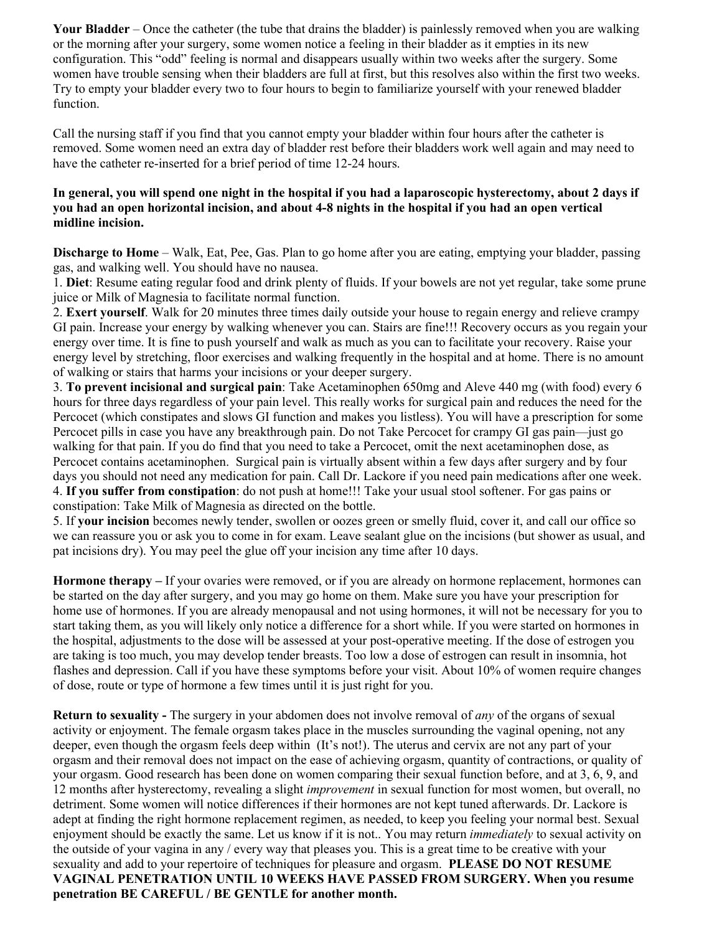**Your Bladder** – Once the catheter (the tube that drains the bladder) is painlessly removed when you are walking or the morning after your surgery, some women notice a feeling in their bladder as it empties in its new configuration. This "odd" feeling is normal and disappears usually within two weeks after the surgery. Some women have trouble sensing when their bladders are full at first, but this resolves also within the first two weeks. Try to empty your bladder every two to four hours to begin to familiarize yourself with your renewed bladder function.

Call the nursing staff if you find that you cannot empty your bladder within four hours after the catheter is removed. Some women need an extra day of bladder rest before their bladders work well again and may need to have the catheter re-inserted for a brief period of time 12-24 hours.

## **In general, you will spend one night in the hospital if you had a laparoscopic hysterectomy, about 2 days if you had an open horizontal incision, and about 4-8 nights in the hospital if you had an open vertical midline incision.**

**Discharge to Home** – Walk, Eat, Pee, Gas. Plan to go home after you are eating, emptying your bladder, passing gas, and walking well. You should have no nausea.

1. **Diet**: Resume eating regular food and drink plenty of fluids. If your bowels are not yet regular, take some prune juice or Milk of Magnesia to facilitate normal function.

2. **Exert yourself**. Walk for 20 minutes three times daily outside your house to regain energy and relieve crampy GI pain. Increase your energy by walking whenever you can. Stairs are fine!!! Recovery occurs as you regain your energy over time. It is fine to push yourself and walk as much as you can to facilitate your recovery. Raise your energy level by stretching, floor exercises and walking frequently in the hospital and at home. There is no amount of walking or stairs that harms your incisions or your deeper surgery.

3. **To prevent incisional and surgical pain**: Take Acetaminophen 650mg and Aleve 440 mg (with food) every 6 hours for three days regardless of your pain level. This really works for surgical pain and reduces the need for the Percocet (which constipates and slows GI function and makes you listless). You will have a prescription for some Percocet pills in case you have any breakthrough pain. Do not Take Percocet for crampy GI gas pain—just go walking for that pain. If you do find that you need to take a Percocet, omit the next acetaminophen dose, as Percocet contains acetaminophen. Surgical pain is virtually absent within a few days after surgery and by four days you should not need any medication for pain. Call Dr. Lackore if you need pain medications after one week. 4. **If you suffer from constipation**: do not push at home!!! Take your usual stool softener. For gas pains or constipation: Take Milk of Magnesia as directed on the bottle.

5. If **your incision** becomes newly tender, swollen or oozes green or smelly fluid, cover it, and call our office so we can reassure you or ask you to come in for exam. Leave sealant glue on the incisions (but shower as usual, and pat incisions dry). You may peel the glue off your incision any time after 10 days.

**Hormone therapy –** If your ovaries were removed, or if you are already on hormone replacement, hormones can be started on the day after surgery, and you may go home on them. Make sure you have your prescription for home use of hormones. If you are already menopausal and not using hormones, it will not be necessary for you to start taking them, as you will likely only notice a difference for a short while. If you were started on hormones in the hospital, adjustments to the dose will be assessed at your post-operative meeting. If the dose of estrogen you are taking is too much, you may develop tender breasts. Too low a dose of estrogen can result in insomnia, hot flashes and depression. Call if you have these symptoms before your visit. About 10% of women require changes of dose, route or type of hormone a few times until it is just right for you.

**Return to sexuality -** The surgery in your abdomen does not involve removal of *any* of the organs of sexual activity or enjoyment. The female orgasm takes place in the muscles surrounding the vaginal opening, not any deeper, even though the orgasm feels deep within (It's not!). The uterus and cervix are not any part of your orgasm and their removal does not impact on the ease of achieving orgasm, quantity of contractions, or quality of your orgasm. Good research has been done on women comparing their sexual function before, and at 3, 6, 9, and 12 months after hysterectomy, revealing a slight *improvement* in sexual function for most women, but overall, no detriment. Some women will notice differences if their hormones are not kept tuned afterwards. Dr. Lackore is adept at finding the right hormone replacement regimen, as needed, to keep you feeling your normal best. Sexual enjoyment should be exactly the same. Let us know if it is not.. You may return *immediately* to sexual activity on the outside of your vagina in any / every way that pleases you. This is a great time to be creative with your sexuality and add to your repertoire of techniques for pleasure and orgasm. **PLEASE DO NOT RESUME VAGINAL PENETRATION UNTIL 10 WEEKS HAVE PASSED FROM SURGERY. When you resume penetration BE CAREFUL / BE GENTLE for another month.**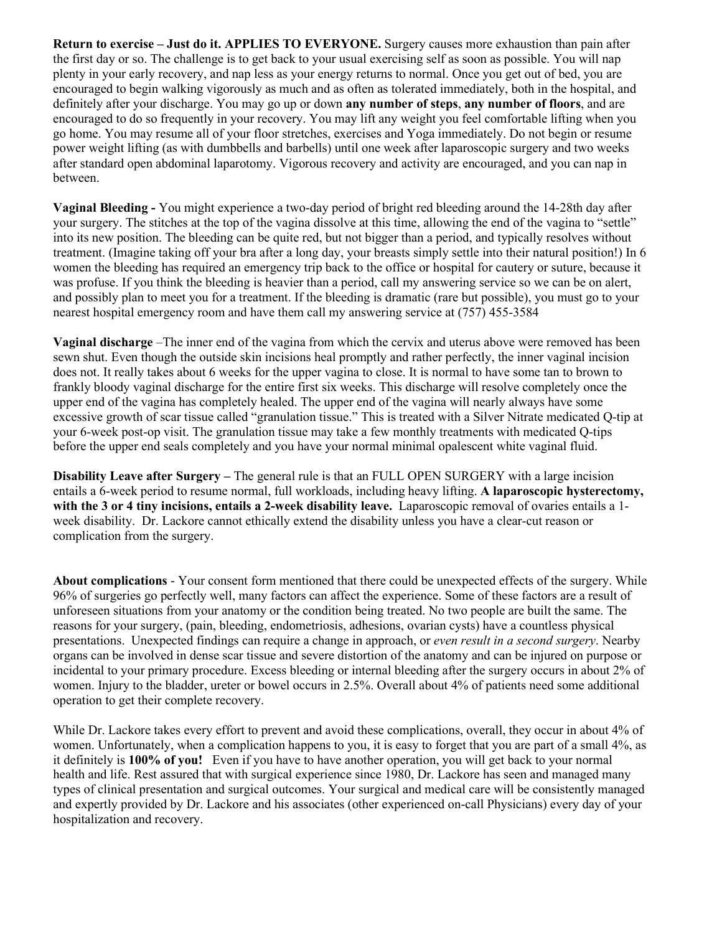**Return to exercise – Just do it. APPLIES TO EVERYONE.** Surgery causes more exhaustion than pain after the first day or so. The challenge is to get back to your usual exercising self as soon as possible. You will nap plenty in your early recovery, and nap less as your energy returns to normal. Once you get out of bed, you are encouraged to begin walking vigorously as much and as often as tolerated immediately, both in the hospital, and definitely after your discharge. You may go up or down **any number of steps**, **any number of floors**, and are encouraged to do so frequently in your recovery. You may lift any weight you feel comfortable lifting when you go home. You may resume all of your floor stretches, exercises and Yoga immediately. Do not begin or resume power weight lifting (as with dumbbells and barbells) until one week after laparoscopic surgery and two weeks after standard open abdominal laparotomy. Vigorous recovery and activity are encouraged, and you can nap in between.

**Vaginal Bleeding -** You might experience a two-day period of bright red bleeding around the 14-28th day after your surgery. The stitches at the top of the vagina dissolve at this time, allowing the end of the vagina to "settle" into its new position. The bleeding can be quite red, but not bigger than a period, and typically resolves without treatment. (Imagine taking off your bra after a long day, your breasts simply settle into their natural position!) In 6 women the bleeding has required an emergency trip back to the office or hospital for cautery or suture, because it was profuse. If you think the bleeding is heavier than a period, call my answering service so we can be on alert, and possibly plan to meet you for a treatment. If the bleeding is dramatic (rare but possible), you must go to your nearest hospital emergency room and have them call my answering service at (757) 455-3584

**Vaginal discharge** –The inner end of the vagina from which the cervix and uterus above were removed has been sewn shut. Even though the outside skin incisions heal promptly and rather perfectly, the inner vaginal incision does not. It really takes about 6 weeks for the upper vagina to close. It is normal to have some tan to brown to frankly bloody vaginal discharge for the entire first six weeks. This discharge will resolve completely once the upper end of the vagina has completely healed. The upper end of the vagina will nearly always have some excessive growth of scar tissue called "granulation tissue." This is treated with a Silver Nitrate medicated Q-tip at your 6-week post-op visit. The granulation tissue may take a few monthly treatments with medicated Q-tips before the upper end seals completely and you have your normal minimal opalescent white vaginal fluid.

**Disability Leave after Surgery –** The general rule is that an FULL OPEN SURGERY with a large incision entails a 6-week period to resume normal, full workloads, including heavy lifting. **A laparoscopic hysterectomy, with the 3 or 4 tiny incisions, entails a 2-week disability leave.** Laparoscopic removal of ovaries entails a 1 week disability. Dr. Lackore cannot ethically extend the disability unless you have a clear-cut reason or complication from the surgery.

**About complications** - Your consent form mentioned that there could be unexpected effects of the surgery. While 96% of surgeries go perfectly well, many factors can affect the experience. Some of these factors are a result of unforeseen situations from your anatomy or the condition being treated. No two people are built the same. The reasons for your surgery, (pain, bleeding, endometriosis, adhesions, ovarian cysts) have a countless physical presentations. Unexpected findings can require a change in approach, or *even result in a second surgery*. Nearby organs can be involved in dense scar tissue and severe distortion of the anatomy and can be injured on purpose or incidental to your primary procedure. Excess bleeding or internal bleeding after the surgery occurs in about 2% of women. Injury to the bladder, ureter or bowel occurs in 2.5%. Overall about 4% of patients need some additional operation to get their complete recovery.

While Dr. Lackore takes every effort to prevent and avoid these complications, overall, they occur in about 4% of women. Unfortunately, when a complication happens to you, it is easy to forget that you are part of a small 4%, as it definitely is **100% of you!** Even if you have to have another operation, you will get back to your normal health and life. Rest assured that with surgical experience since 1980, Dr. Lackore has seen and managed many types of clinical presentation and surgical outcomes. Your surgical and medical care will be consistently managed and expertly provided by Dr. Lackore and his associates (other experienced on-call Physicians) every day of your hospitalization and recovery.